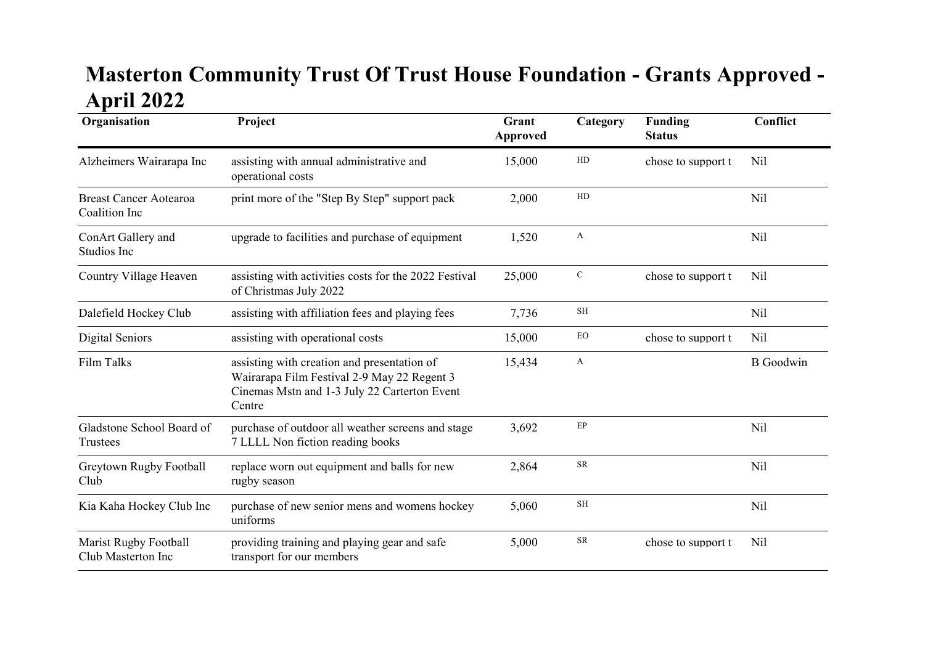## Masterton Community Trust Of Trust House Foundation - Grants Approved - April 2022

| Organisation                                       | Project                                                                                                                                              | Grant<br><b>Approved</b> | Category            | <b>Funding</b><br><b>Status</b> | Conflict         |
|----------------------------------------------------|------------------------------------------------------------------------------------------------------------------------------------------------------|--------------------------|---------------------|---------------------------------|------------------|
| Alzheimers Wairarapa Inc                           | assisting with annual administrative and<br>operational costs                                                                                        | 15,000                   | HD                  | chose to support t              | Nil              |
| <b>Breast Cancer Aotearoa</b><br>Coalition Inc     | print more of the "Step By Step" support pack                                                                                                        | 2,000                    | ${\rm HD}$          |                                 | Nil              |
| ConArt Gallery and<br>Studios Inc                  | upgrade to facilities and purchase of equipment                                                                                                      | 1,520                    | A                   |                                 | Nil              |
| Country Village Heaven                             | assisting with activities costs for the 2022 Festival<br>of Christmas July 2022                                                                      | 25,000                   | $\mathbf C$         | chose to support t              | Nil              |
| Dalefield Hockey Club                              | assisting with affiliation fees and playing fees                                                                                                     | 7,736                    | $\operatorname{SH}$ |                                 | Nil              |
| Digital Seniors                                    | assisting with operational costs                                                                                                                     | 15,000                   | EO                  | chose to support t              | N <sub>il</sub>  |
| Film Talks                                         | assisting with creation and presentation of<br>Wairarapa Film Festival 2-9 May 22 Regent 3<br>Cinemas Mstn and 1-3 July 22 Carterton Event<br>Centre | 15,434                   | A                   |                                 | <b>B</b> Goodwin |
| Gladstone School Board of<br>Trustees              | purchase of outdoor all weather screens and stage<br>7 LLLL Non fiction reading books                                                                | 3,692                    | $\rm EP$            |                                 | Nil              |
| Greytown Rugby Football<br>Club                    | replace worn out equipment and balls for new<br>rugby season                                                                                         | 2,864                    | ${\sf SR}$          |                                 | Nil              |
| Kia Kaha Hockey Club Inc                           | purchase of new senior mens and womens hockey<br>uniforms                                                                                            | 5,060                    | <b>SH</b>           |                                 | Nil              |
| <b>Marist Rugby Football</b><br>Club Masterton Inc | providing training and playing gear and safe<br>transport for our members                                                                            | 5,000                    | ${\sf SR}$          | chose to support t              | Nil              |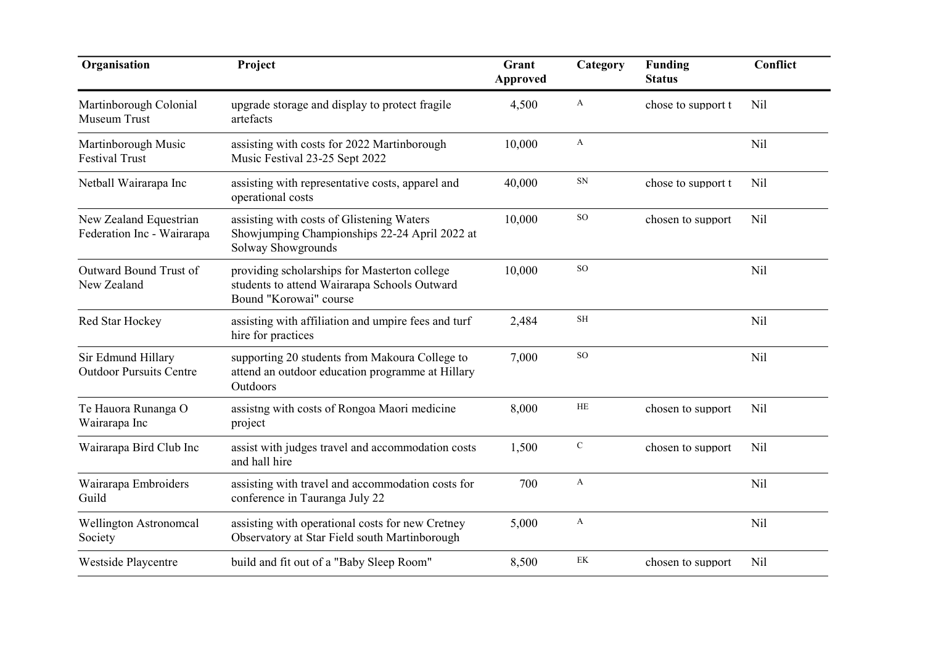| Organisation                                         | Project                                                                                                                | Grant<br><b>Approved</b> | Category     | <b>Funding</b><br><b>Status</b> | Conflict        |
|------------------------------------------------------|------------------------------------------------------------------------------------------------------------------------|--------------------------|--------------|---------------------------------|-----------------|
| Martinborough Colonial<br>Museum Trust               | upgrade storage and display to protect fragile<br>artefacts                                                            | 4,500                    | A            | chose to support t              | N <sub>il</sub> |
| Martinborough Music<br><b>Festival Trust</b>         | assisting with costs for 2022 Martinborough<br>Music Festival 23-25 Sept 2022                                          | 10,000                   | $\mathbf{A}$ |                                 | Nil             |
| Netball Wairarapa Inc                                | assisting with representative costs, apparel and<br>operational costs                                                  | 40,000                   | ${\rm SN}$   | chose to support t              | Nil             |
| New Zealand Equestrian<br>Federation Inc - Wairarapa | assisting with costs of Glistening Waters<br>Showjumping Championships 22-24 April 2022 at<br>Solway Showgrounds       | 10,000                   | SO           | chosen to support               | Nil             |
| Outward Bound Trust of<br>New Zealand                | providing scholarships for Masterton college<br>students to attend Wairarapa Schools Outward<br>Bound "Korowai" course | 10,000                   | SO           |                                 | Nil             |
| Red Star Hockey                                      | assisting with affiliation and umpire fees and turf<br>hire for practices                                              | 2,484                    | <b>SH</b>    |                                 | Nil             |
| Sir Edmund Hillary<br><b>Outdoor Pursuits Centre</b> | supporting 20 students from Makoura College to<br>attend an outdoor education programme at Hillary<br>Outdoors         | 7,000                    | SO           |                                 | Nil             |
| Te Hauora Runanga O<br>Wairarapa Inc                 | assistng with costs of Rongoa Maori medicine<br>project                                                                | 8,000                    | HE           | chosen to support               | Nil             |
| Wairarapa Bird Club Inc                              | assist with judges travel and accommodation costs<br>and hall hire                                                     | 1,500                    | ${\bf C}$    | chosen to support               | Nil             |
| Wairarapa Embroiders<br>Guild                        | assisting with travel and accommodation costs for<br>conference in Tauranga July 22                                    | 700                      | A            |                                 | Nil             |
| <b>Wellington Astronomcal</b><br>Society             | assisting with operational costs for new Cretney<br>Observatory at Star Field south Martinborough                      | 5,000                    | A            |                                 | Nil             |
| Westside Playcentre                                  | build and fit out of a "Baby Sleep Room"                                                                               | 8,500                    | EK           | chosen to support               | Nil             |